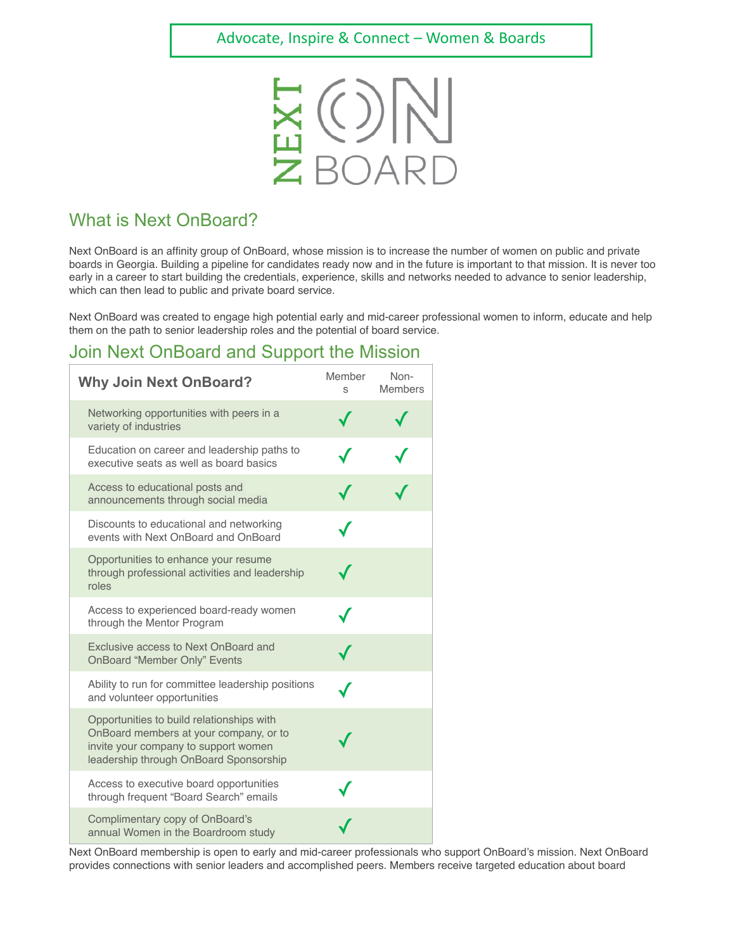

## What is Next OnBoard?

Next OnBoard is an affinity group of OnBoard, whose mission is to increase the number of women on public and private boards in Georgia. Building a pipeline for candidates ready now and in the future is important to that mission. It is never too early in a career to start building the credentials, experience, skills and networks needed to advance to senior leadership, which can then lead to public and private board service.

Next OnBoard was created to engage high potential early and mid-career professional women to inform, educate and help them on the path to senior leadership roles and the potential of board service.

## Join Next OnBoard and Support the Mission

| <b>Why Join Next OnBoard?</b>                                                                                                                                         | Member<br>S | Non-<br><b>Members</b> |
|-----------------------------------------------------------------------------------------------------------------------------------------------------------------------|-------------|------------------------|
| Networking opportunities with peers in a<br>variety of industries                                                                                                     |             |                        |
| Education on career and leadership paths to<br>executive seats as well as board basics                                                                                |             |                        |
| Access to educational posts and<br>announcements through social media                                                                                                 |             |                        |
| Discounts to educational and networking<br>events with Next OnBoard and OnBoard                                                                                       |             |                        |
| Opportunities to enhance your resume<br>through professional activities and leadership<br>roles                                                                       |             |                        |
| Access to experienced board-ready women<br>through the Mentor Program                                                                                                 |             |                        |
| Exclusive access to Next OnBoard and<br><b>OnBoard "Member Only" Events</b>                                                                                           |             |                        |
| Ability to run for committee leadership positions<br>and volunteer opportunities                                                                                      |             |                        |
| Opportunities to build relationships with<br>OnBoard members at your company, or to<br>invite your company to support women<br>leadership through OnBoard Sponsorship |             |                        |
| Access to executive board opportunities<br>through frequent "Board Search" emails                                                                                     |             |                        |
| Complimentary copy of OnBoard's<br>annual Women in the Boardroom study                                                                                                |             |                        |

Next OnBoard membership is open to early and mid-career professionals who support OnBoard's mission. Next OnBoard provides connections with senior leaders and accomplished peers. Members receive targeted education about board